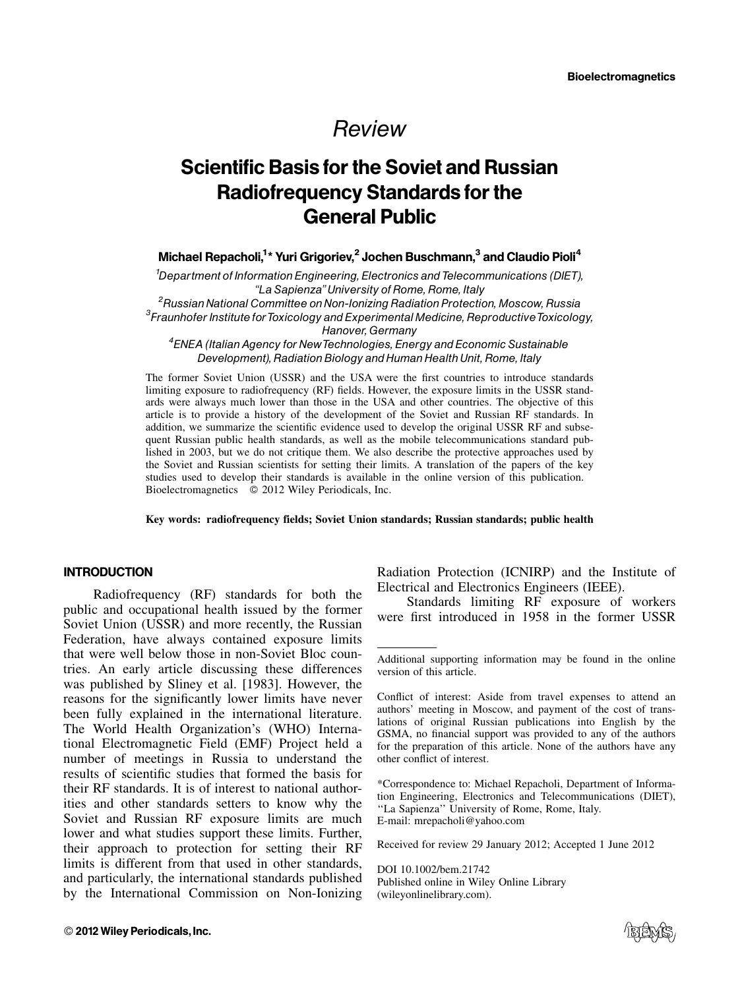# Review

# Scientific Basis for the Soviet and Russian Radiofrequency Standards for the General Public

Michael Repacholi,<sup>1</sup>\* Yuri Grigoriev,<sup>2</sup> Jochen Buschmann,<sup>3</sup> and Claudio Pioli<sup>4</sup>

<sup>1</sup>Department of Information Engineering, Electronics and Telecommunications (DIET), La Sapienza" University of Rome, Rome, Italy"<br><sup>2</sup> Russian National Committee on Non-Jonizing Padiation Protectic  $\alpha^2$ Russian National Committee on Non-Ionizing Radiation Protection, Moscow, Russia  $\alpha^3$ Erounboter Institute for Texicology and Experimental Modicine, Penreductive Texicology

 ${}^{3}$ Fraunhofer Institute for Toxicology and Experimental Medicine, Reproductive Toxicology,

Hanover, Germany<br>ENEA (Italian Agency for NewTechnologies, Energy and Economic Sustainable<sup>4</sup> Development), Radiation Biology and Human Health Unit, Rome, Italy

The former Soviet Union (USSR) and the USA were the first countries to introduce standards limiting exposure to radiofrequency (RF) fields. However, the exposure limits in the USSR standards were always much lower than those in the USA and other countries. The objective of this article is to provide a history of the development of the Soviet and Russian RF standards. In addition, we summarize the scientific evidence used to develop the original USSR RF and subsequent Russian public health standards, as well as the mobile telecommunications standard published in 2003, but we do not critique them. We also describe the protective approaches used by the Soviet and Russian scientists for setting their limits. A translation of the papers of the key studies used to develop their standards is available in the online version of this publication. Bioelectromagnetics  $\circ$  2012 Wiley Periodicals, Inc.

Key words: radiofrequency fields; Soviet Union standards; Russian standards; public health

## **INTRODUCTION**

Radiofrequency (RF) standards for both the public and occupational health issued by the former Soviet Union (USSR) and more recently, the Russian Federation, have always contained exposure limits that were well below those in non-Soviet Bloc countries. An early article discussing these differences was published by Sliney et al. [1983]. However, the reasons for the significantly lower limits have never been fully explained in the international literature. The World Health Organization's (WHO) International Electromagnetic Field (EMF) Project held a number of meetings in Russia to understand the results of scientific studies that formed the basis for their RF standards. It is of interest to national authorities and other standards setters to know why the Soviet and Russian RF exposure limits are much lower and what studies support these limits. Further, their approach to protection for setting their RF limits is different from that used in other standards, and particularly, the international standards published by the International Commission on Non-Ionizing

Radiation Protection (ICNIRP) and the Institute of Electrical and Electronics Engineers (IEEE).

Standards limiting RF exposure of workers were first introduced in 1958 in the former USSR

\*Correspondence to: Michael Repacholi, Department of Information Engineering, Electronics and Telecommunications (DIET), ''La Sapienza'' University of Rome, Rome, Italy. E-mail: mrepacholi@yahoo.com

Received for review 29 January 2012; Accepted 1 June 2012

DOI 10.1002/bem.21742 Published online in Wiley Online Library (wileyonlinelibrary.com).



Additional supporting information may be found in the online version of this article.

Conflict of interest: Aside from travel expenses to attend an authors' meeting in Moscow, and payment of the cost of translations of original Russian publications into English by the GSMA, no financial support was provided to any of the authors for the preparation of this article. None of the authors have any other conflict of interest.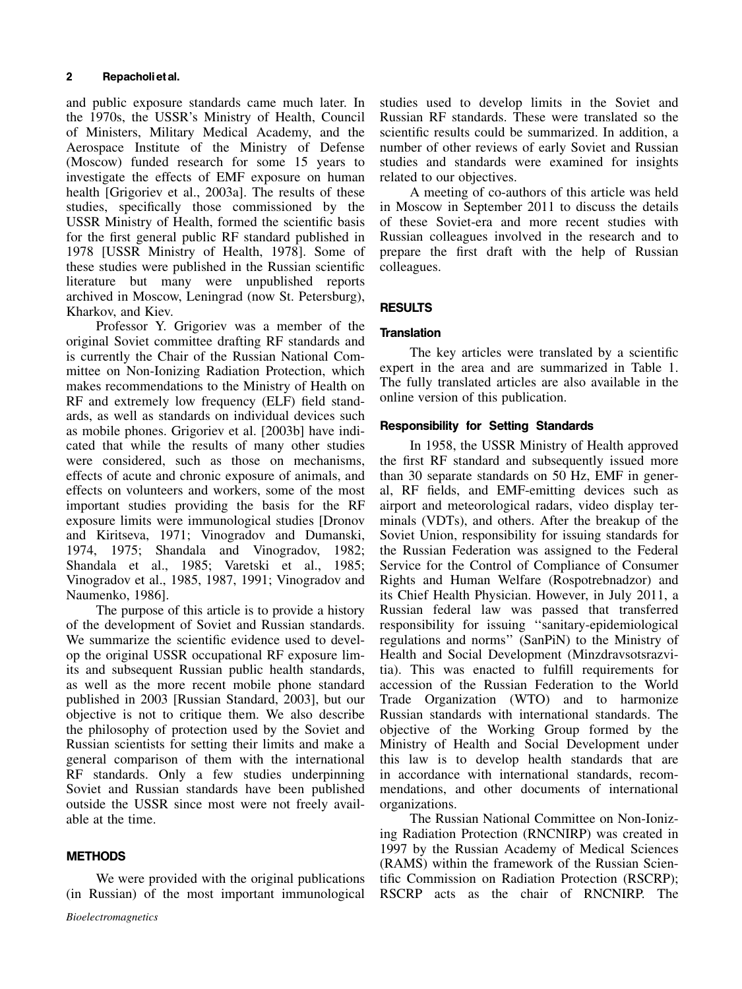and public exposure standards came much later. In the 1970s, the USSR's Ministry of Health, Council of Ministers, Military Medical Academy, and the Aerospace Institute of the Ministry of Defense (Moscow) funded research for some 15 years to investigate the effects of EMF exposure on human health [Grigoriev et al., 2003a]. The results of these studies, specifically those commissioned by the USSR Ministry of Health, formed the scientific basis for the first general public RF standard published in 1978 [USSR Ministry of Health, 1978]. Some of these studies were published in the Russian scientific literature but many were unpublished reports archived in Moscow, Leningrad (now St. Petersburg), Kharkov, and Kiev.

Professor Y. Grigoriev was a member of the original Soviet committee drafting RF standards and is currently the Chair of the Russian National Committee on Non-Ionizing Radiation Protection, which makes recommendations to the Ministry of Health on RF and extremely low frequency (ELF) field standards, as well as standards on individual devices such as mobile phones. Grigoriev et al. [2003b] have indicated that while the results of many other studies were considered, such as those on mechanisms, effects of acute and chronic exposure of animals, and effects on volunteers and workers, some of the most important studies providing the basis for the RF exposure limits were immunological studies [Dronov and Kiritseva, 1971; Vinogradov and Dumanski, 1974, 1975; Shandala and Vinogradov, 1982; Shandala et al., 1985; Varetski et al., 1985; Vinogradov et al., 1985, 1987, 1991; Vinogradov and Naumenko, 1986].

The purpose of this article is to provide a history of the development of Soviet and Russian standards. We summarize the scientific evidence used to develop the original USSR occupational RF exposure limits and subsequent Russian public health standards, as well as the more recent mobile phone standard published in 2003 [Russian Standard, 2003], but our objective is not to critique them. We also describe the philosophy of protection used by the Soviet and Russian scientists for setting their limits and make a general comparison of them with the international RF standards. Only a few studies underpinning Soviet and Russian standards have been published outside the USSR since most were not freely available at the time.

# **METHODS**

We were provided with the original publications (in Russian) of the most important immunological studies used to develop limits in the Soviet and Russian RF standards. These were translated so the scientific results could be summarized. In addition, a number of other reviews of early Soviet and Russian studies and standards were examined for insights related to our objectives.

A meeting of co-authors of this article was held in Moscow in September 2011 to discuss the details of these Soviet-era and more recent studies with Russian colleagues involved in the research and to prepare the first draft with the help of Russian colleagues.

# RESULTS

# **Translation**

The key articles were translated by a scientific expert in the area and are summarized in Table 1. The fully translated articles are also available in the online version of this publication.

## Responsibility for Setting Standards

In 1958, the USSR Ministry of Health approved the first RF standard and subsequently issued more than 30 separate standards on 50 Hz, EMF in general, RF fields, and EMF-emitting devices such as airport and meteorological radars, video display terminals (VDTs), and others. After the breakup of the Soviet Union, responsibility for issuing standards for the Russian Federation was assigned to the Federal Service for the Control of Compliance of Consumer Rights and Human Welfare (Rospotrebnadzor) and its Chief Health Physician. However, in July 2011, a Russian federal law was passed that transferred responsibility for issuing ''sanitary-epidemiological regulations and norms'' (SanPiN) to the Ministry of Health and Social Development (Minzdravsotsrazvitia). This was enacted to fulfill requirements for accession of the Russian Federation to the World Trade Organization (WTO) and to harmonize Russian standards with international standards. The objective of the Working Group formed by the Ministry of Health and Social Development under this law is to develop health standards that are in accordance with international standards, recommendations, and other documents of international organizations.

The Russian National Committee on Non-Ionizing Radiation Protection (RNCNIRP) was created in 1997 by the Russian Academy of Medical Sciences (RAMS) within the framework of the Russian Scientific Commission on Radiation Protection (RSCRP); RSCRP acts as the chair of RNCNIRP. The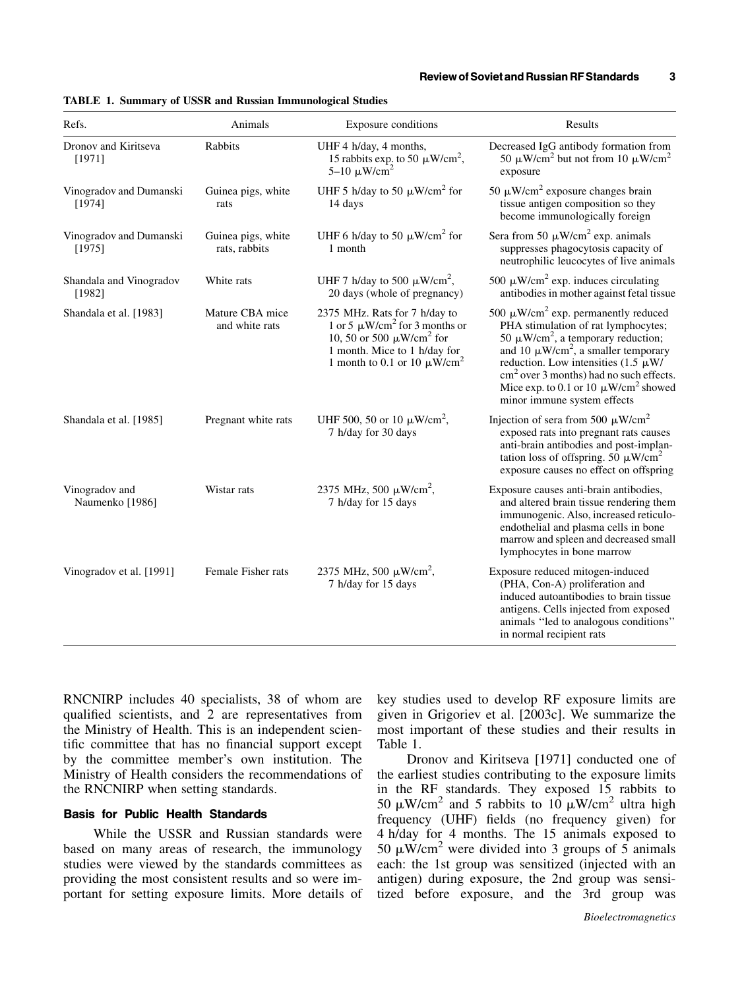| Refs.                             | Animals                             | Exposure conditions                                                                                                                                                                                          | Results                                                                                                                                                                                                                                                                                                                                                                                             |
|-----------------------------------|-------------------------------------|--------------------------------------------------------------------------------------------------------------------------------------------------------------------------------------------------------------|-----------------------------------------------------------------------------------------------------------------------------------------------------------------------------------------------------------------------------------------------------------------------------------------------------------------------------------------------------------------------------------------------------|
| Dronov and Kiritseva<br>[1971]    | Rabbits                             | UHF 4 h/day, 4 months,<br>15 rabbits exp. to 50 $\mu$ W/cm <sup>2</sup> ,<br>5-10 $μW/cm2$                                                                                                                   | Decreased IgG antibody formation from<br>50 $\mu$ W/cm <sup>2</sup> but not from 10 $\mu$ W/cm <sup>2</sup><br>exposure                                                                                                                                                                                                                                                                             |
| Vinogradov and Dumanski<br>[1974] | Guinea pigs, white<br>rats          | UHF 5 h/day to 50 $\mu$ W/cm <sup>2</sup> for<br>14 days                                                                                                                                                     | 50 $\mu$ W/cm <sup>2</sup> exposure changes brain<br>tissue antigen composition so they<br>become immunologically foreign                                                                                                                                                                                                                                                                           |
| Vinogradov and Dumanski<br>[1975] | Guinea pigs, white<br>rats, rabbits | UHF 6 h/day to 50 $\mu$ W/cm <sup>2</sup> for<br>1 month                                                                                                                                                     | Sera from 50 $\mu$ W/cm <sup>2</sup> exp. animals<br>suppresses phagocytosis capacity of<br>neutrophilic leucocytes of live animals                                                                                                                                                                                                                                                                 |
| Shandala and Vinogradov<br>[1982] | White rats                          | UHF 7 h/day to 500 $\mu$ W/cm <sup>2</sup> ,<br>20 days (whole of pregnancy)                                                                                                                                 | 500 $\mu$ W/cm <sup>2</sup> exp. induces circulating<br>antibodies in mother against fetal tissue                                                                                                                                                                                                                                                                                                   |
| Shandala et al. [1983]            | Mature CBA mice<br>and white rats   | 2375 MHz. Rats for 7 h/day to<br>1 or 5 $\mu$ W/cm <sup>2</sup> for 3 months or<br>10, 50 or 500 $\mu$ W/cm <sup>2</sup> for<br>1 month. Mice to 1 h/day for<br>1 month to 0.1 or 10 $\mu$ W/cm <sup>2</sup> | 500 $\mu$ W/cm <sup>2</sup> exp. permanently reduced<br>PHA stimulation of rat lymphocytes;<br>50 $\mu$ W/cm <sup>2</sup> , a temporary reduction;<br>and 10 $\mu$ W/cm <sup>2</sup> , a smaller temporary<br>reduction. Low intensities $(1.5 \mu W)$<br>$\text{cm}^2$ over 3 months) had no such effects.<br>Mice exp. to 0.1 or 10 $\mu$ W/cm <sup>2</sup> showed<br>minor immune system effects |
| Shandala et al. [1985]            | Pregnant white rats                 | UHF 500, 50 or 10 $\mu$ W/cm <sup>2</sup> ,<br>7 h/day for 30 days                                                                                                                                           | Injection of sera from 500 $\mu$ W/cm <sup>2</sup><br>exposed rats into pregnant rats causes<br>anti-brain antibodies and post-implan-<br>tation loss of offspring. 50 $\mu$ W/cm <sup>2</sup><br>exposure causes no effect on offspring                                                                                                                                                            |
| Vinogradov and<br>Naumenko [1986] | Wistar rats                         | 2375 MHz, 500 $\mu$ W/cm <sup>2</sup> ,<br>7 h/day for 15 days                                                                                                                                               | Exposure causes anti-brain antibodies,<br>and altered brain tissue rendering them<br>immunogenic. Also, increased reticulo-<br>endothelial and plasma cells in bone<br>marrow and spleen and decreased small<br>lymphocytes in bone marrow                                                                                                                                                          |
| Vinogradov et al. [1991]          | Female Fisher rats                  | 2375 MHz, 500 $\mu$ W/cm <sup>2</sup> ,<br>7 h/day for 15 days                                                                                                                                               | Exposure reduced mitogen-induced<br>(PHA, Con-A) proliferation and<br>induced autoantibodies to brain tissue<br>antigens. Cells injected from exposed<br>animals "led to analogous conditions"<br>in normal recipient rats                                                                                                                                                                          |

TABLE 1. Summary of USSR and Russian Immunological Studies

RNCNIRP includes 40 specialists, 38 of whom are qualified scientists, and 2 are representatives from the Ministry of Health. This is an independent scientific committee that has no financial support except by the committee member's own institution. The Ministry of Health considers the recommendations of the RNCNIRP when setting standards.

#### Basis for Public Health Standards

While the USSR and Russian standards were based on many areas of research, the immunology studies were viewed by the standards committees as providing the most consistent results and so were important for setting exposure limits. More details of key studies used to develop RF exposure limits are given in Grigoriev et al. [2003c]. We summarize the most important of these studies and their results in Table 1.

Dronov and Kiritseva [1971] conducted one of the earliest studies contributing to the exposure limits in the RF standards. They exposed 15 rabbits to 50  $\mu$ W/cm<sup>2</sup> and 5 rabbits to 10  $\mu$ W/cm<sup>2</sup> ultra high frequency (UHF) fields (no frequency given) for 4 h/day for 4 months. The 15 animals exposed to 50  $\mu$ W/cm<sup>2</sup> were divided into 3 groups of 5 animals each: the 1st group was sensitized (injected with an antigen) during exposure, the 2nd group was sensitized before exposure, and the 3rd group was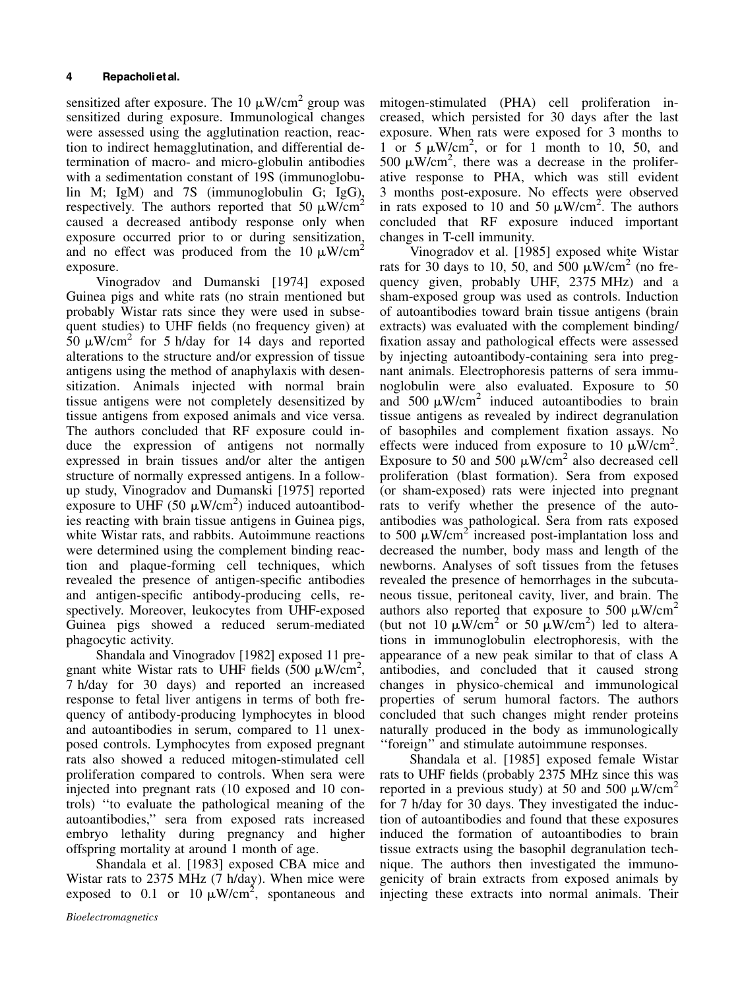sensitized after exposure. The 10  $\mu$ W/cm<sup>2</sup> group was sensitized during exposure. Immunological changes were assessed using the agglutination reaction, reaction to indirect hemagglutination, and differential determination of macro- and micro-globulin antibodies with a sedimentation constant of 19S (immunoglobulin M; IgM) and 7S (immunoglobulin G; IgG), respectively. The authors reported that 50  $\mu$ W/cm<sup>2</sup> caused a decreased antibody response only when exposure occurred prior to or during sensitization, and no effect was produced from the 10  $\mu$ W/cm<sup>2</sup> exposure.

Vinogradov and Dumanski [1974] exposed Guinea pigs and white rats (no strain mentioned but probably Wistar rats since they were used in subsequent studies) to UHF fields (no frequency given) at  $50 \mu W/cm^2$  for 5 h/day for 14 days and reported alterations to the structure and/or expression of tissue antigens using the method of anaphylaxis with desensitization. Animals injected with normal brain tissue antigens were not completely desensitized by tissue antigens from exposed animals and vice versa. The authors concluded that RF exposure could induce the expression of antigens not normally expressed in brain tissues and/or alter the antigen structure of normally expressed antigens. In a followup study, Vinogradov and Dumanski [1975] reported exposure to UHF  $(50 \mu W/cm^2)$  induced autoantibodies reacting with brain tissue antigens in Guinea pigs, white Wistar rats, and rabbits. Autoimmune reactions were determined using the complement binding reaction and plaque-forming cell techniques, which revealed the presence of antigen-specific antibodies and antigen-specific antibody-producing cells, respectively. Moreover, leukocytes from UHF-exposed Guinea pigs showed a reduced serum-mediated phagocytic activity.

Shandala and Vinogradov [1982] exposed 11 pregnant white Wistar rats to UHF fields (500  $\mu$ W/cm<sup>2</sup>, 7 h/day for 30 days) and reported an increased response to fetal liver antigens in terms of both frequency of antibody-producing lymphocytes in blood and autoantibodies in serum, compared to 11 unexposed controls. Lymphocytes from exposed pregnant rats also showed a reduced mitogen-stimulated cell proliferation compared to controls. When sera were injected into pregnant rats (10 exposed and 10 controls) ''to evaluate the pathological meaning of the autoantibodies,'' sera from exposed rats increased embryo lethality during pregnancy and higher offspring mortality at around 1 month of age.

Shandala et al. [1983] exposed CBA mice and Wistar rats to 2375 MHz (7 h/day). When mice were exposed to 0.1 or 10  $\mu$ W/cm<sup>2</sup>, spontaneous and

mitogen-stimulated (PHA) cell proliferation increased, which persisted for 30 days after the last exposure. When rats were exposed for 3 months to 1 or 5  $\mu$ W/cm<sup>2</sup>, or for 1 month to 10, 50, and 500  $\mu$ W/cm<sup>2</sup>, there was a decrease in the proliferative response to PHA, which was still evident 3 months post-exposure. No effects were observed in rats exposed to 10 and 50  $\mu$ W/cm<sup>2</sup>. The authors concluded that RF exposure induced important changes in T-cell immunity.

Vinogradov et al. [1985] exposed white Wistar rats for 30 days to 10, 50, and 500  $\mu$ W/cm<sup>2</sup> (no frequency given, probably UHF, 2375 MHz) and a sham-exposed group was used as controls. Induction of autoantibodies toward brain tissue antigens (brain extracts) was evaluated with the complement binding/ fixation assay and pathological effects were assessed by injecting autoantibody-containing sera into pregnant animals. Electrophoresis patterns of sera immunoglobulin were also evaluated. Exposure to 50 and 500  $\mu$ W/cm<sup>2</sup> induced autoantibodies to brain tissue antigens as revealed by indirect degranulation of basophiles and complement fixation assays. No effects were induced from exposure to 10  $\mu$ W/cm<sup>2</sup>. Exposure to 50 and 500  $\mu$ W/cm<sup>2</sup> also decreased cell proliferation (blast formation). Sera from exposed (or sham-exposed) rats were injected into pregnant rats to verify whether the presence of the autoantibodies was pathological. Sera from rats exposed to 500  $\mu$ W/cm<sup>2</sup> increased post-implantation loss and decreased the number, body mass and length of the newborns. Analyses of soft tissues from the fetuses revealed the presence of hemorrhages in the subcutaneous tissue, peritoneal cavity, liver, and brain. The authors also reported that exposure to 500  $\mu$ W/cm<sup>2</sup> (but not 10  $\mu \text{W/cm}^2$  or 50  $\mu \text{W/cm}^2$ ) led to alterations in immunoglobulin electrophoresis, with the appearance of a new peak similar to that of class A antibodies, and concluded that it caused strong changes in physico-chemical and immunological properties of serum humoral factors. The authors concluded that such changes might render proteins naturally produced in the body as immunologically ''foreign'' and stimulate autoimmune responses.

Shandala et al. [1985] exposed female Wistar rats to UHF fields (probably 2375 MHz since this was reported in a previous study) at 50 and 500  $\mu$ W/cm<sup>2</sup> for 7 h/day for 30 days. They investigated the induction of autoantibodies and found that these exposures induced the formation of autoantibodies to brain tissue extracts using the basophil degranulation technique. The authors then investigated the immunogenicity of brain extracts from exposed animals by injecting these extracts into normal animals. Their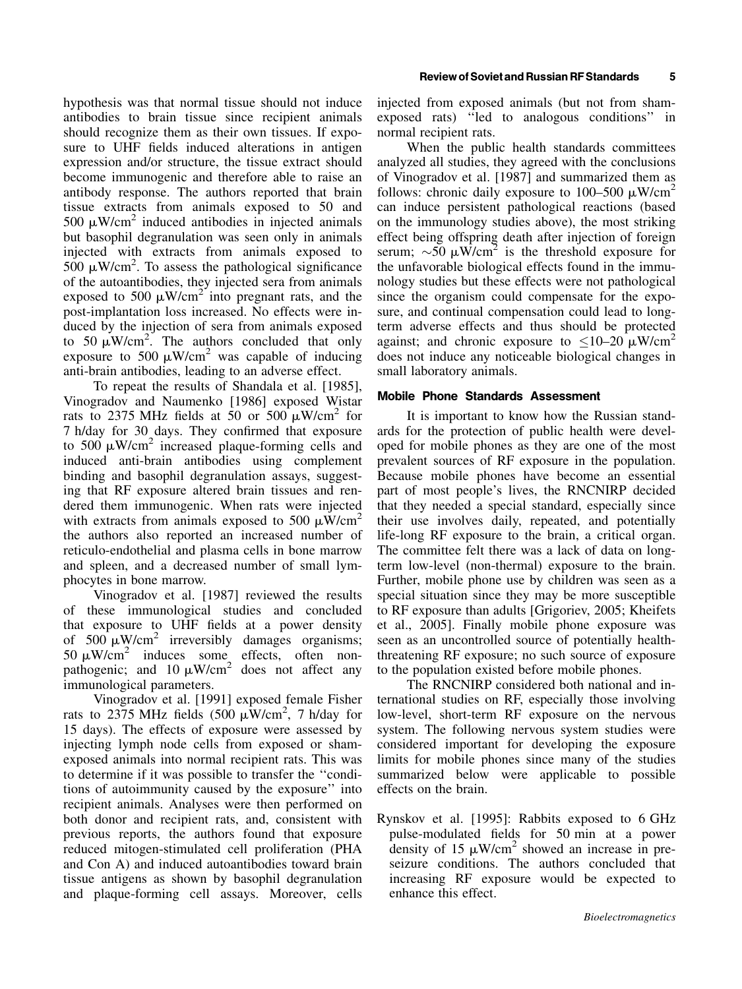hypothesis was that normal tissue should not induce antibodies to brain tissue since recipient animals should recognize them as their own tissues. If exposure to UHF fields induced alterations in antigen expression and/or structure, the tissue extract should become immunogenic and therefore able to raise an antibody response. The authors reported that brain tissue extracts from animals exposed to 50 and 500  $\mu$ W/cm<sup>2</sup> induced antibodies in injected animals but basophil degranulation was seen only in animals injected with extracts from animals exposed to  $500 \mu W/cm^2$ . To assess the pathological significance of the autoantibodies, they injected sera from animals exposed to 500  $\mu$ W/cm<sup>2</sup> into pregnant rats, and the post-implantation loss increased. No effects were induced by the injection of sera from animals exposed to 50  $\mu$ W/cm<sup>2</sup>. The authors concluded that only exposure to 500  $\mu$ W/cm<sup>2</sup> was capable of inducing anti-brain antibodies, leading to an adverse effect.

To repeat the results of Shandala et al. [1985], Vinogradov and Naumenko [1986] exposed Wistar rats to 2375 MHz fields at 50 or 500  $\mu$ W/cm<sup>2</sup> for 7 h/day for 30 days. They confirmed that exposure to 500  $\mu$ W/cm<sup>2</sup> increased plaque-forming cells and induced anti-brain antibodies using complement binding and basophil degranulation assays, suggesting that RF exposure altered brain tissues and rendered them immunogenic. When rats were injected with extracts from animals exposed to 500  $\mu$ W/cm<sup>2</sup> the authors also reported an increased number of reticulo-endothelial and plasma cells in bone marrow and spleen, and a decreased number of small lymphocytes in bone marrow.

Vinogradov et al. [1987] reviewed the results of these immunological studies and concluded that exposure to UHF fields at a power density of  $500 \mu W/cm^2$  irreversibly damages organisms;  $50 \mu W/cm^2$  induces some effects, often nonpathogenic; and 10  $\mu$ W/cm<sup>2</sup> does not affect any immunological parameters.

Vinogradov et al. [1991] exposed female Fisher rats to 2375 MHz fields  $(500 \mu W/cm^2, 7 \text{ h/day}$  for 15 days). The effects of exposure were assessed by injecting lymph node cells from exposed or shamexposed animals into normal recipient rats. This was to determine if it was possible to transfer the ''conditions of autoimmunity caused by the exposure'' into recipient animals. Analyses were then performed on both donor and recipient rats, and, consistent with previous reports, the authors found that exposure reduced mitogen-stimulated cell proliferation (PHA and Con A) and induced autoantibodies toward brain tissue antigens as shown by basophil degranulation and plaque-forming cell assays. Moreover, cells

injected from exposed animals (but not from shamexposed rats) ''led to analogous conditions'' in normal recipient rats.

When the public health standards committees analyzed all studies, they agreed with the conclusions of Vinogradov et al. [1987] and summarized them as follows: chronic daily exposure to 100–500  $\mu$ W/cm<sup>2</sup> can induce persistent pathological reactions (based on the immunology studies above), the most striking effect being offspring death after injection of foreign serum;  $\sim 50 \mu W/cm^2$  is the threshold exposure for the unfavorable biological effects found in the immunology studies but these effects were not pathological since the organism could compensate for the exposure, and continual compensation could lead to longterm adverse effects and thus should be protected against; and chronic exposure to  $\leq 10-20 \mu W/cm^2$ does not induce any noticeable biological changes in small laboratory animals.

### Mobile Phone Standards Assessment

It is important to know how the Russian standards for the protection of public health were developed for mobile phones as they are one of the most prevalent sources of RF exposure in the population. Because mobile phones have become an essential part of most people's lives, the RNCNIRP decided that they needed a special standard, especially since their use involves daily, repeated, and potentially life-long RF exposure to the brain, a critical organ. The committee felt there was a lack of data on longterm low-level (non-thermal) exposure to the brain. Further, mobile phone use by children was seen as a special situation since they may be more susceptible to RF exposure than adults [Grigoriev, 2005; Kheifets et al., 2005]. Finally mobile phone exposure was seen as an uncontrolled source of potentially healththreatening RF exposure; no such source of exposure to the population existed before mobile phones.

The RNCNIRP considered both national and international studies on RF, especially those involving low-level, short-term RF exposure on the nervous system. The following nervous system studies were considered important for developing the exposure limits for mobile phones since many of the studies summarized below were applicable to possible effects on the brain.

Rynskov et al. [1995]: Rabbits exposed to 6 GHz pulse-modulated fields for 50 min at a power density of 15  $\mu$ W/cm<sup>2</sup> showed an increase in preseizure conditions. The authors concluded that increasing RF exposure would be expected to enhance this effect.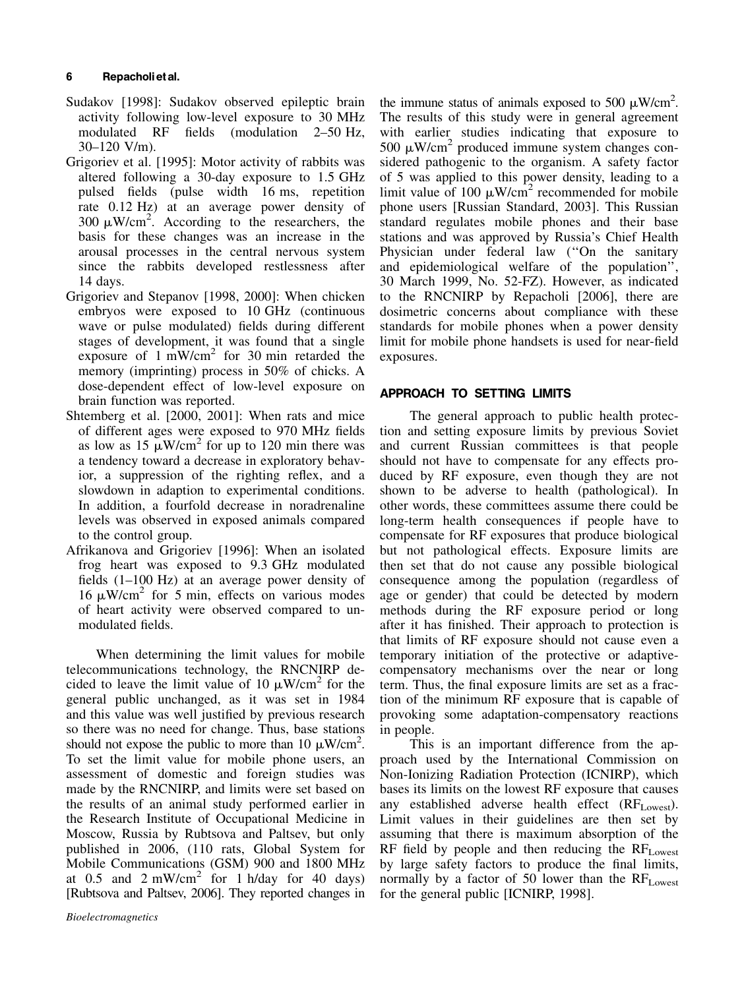## 6 Repacholiet al.

- Sudakov [1998]: Sudakov observed epileptic brain activity following low-level exposure to 30 MHz modulated RF fields (modulation 2–50 Hz, 30–120 V/m).
- Grigoriev et al. [1995]: Motor activity of rabbits was altered following a 30-day exposure to 1.5 GHz pulsed fields (pulse width 16 ms, repetition rate 0.12 Hz) at an average power density of 300  $\mu$ W/cm<sup>2</sup>. According to the researchers, the basis for these changes was an increase in the arousal processes in the central nervous system since the rabbits developed restlessness after 14 days.
- Grigoriev and Stepanov [1998, 2000]: When chicken embryos were exposed to 10 GHz (continuous wave or pulse modulated) fields during different stages of development, it was found that a single exposure of  $1 \text{ mW/cm}^2$  for 30 min retarded the memory (imprinting) process in 50% of chicks. A dose-dependent effect of low-level exposure on brain function was reported.
- Shtemberg et al. [2000, 2001]: When rats and mice of different ages were exposed to 970 MHz fields as low as 15  $\mu$ W/cm<sup>2</sup> for up to 120 min there was a tendency toward a decrease in exploratory behavior, a suppression of the righting reflex, and a slowdown in adaption to experimental conditions. In addition, a fourfold decrease in noradrenaline levels was observed in exposed animals compared to the control group.
- Afrikanova and Grigoriev [1996]: When an isolated frog heart was exposed to 9.3 GHz modulated fields (1–100 Hz) at an average power density of 16  $\mu$ W/cm<sup>2</sup> for 5 min, effects on various modes of heart activity were observed compared to unmodulated fields.

When determining the limit values for mobile telecommunications technology, the RNCNIRP decided to leave the limit value of 10  $\mu$ W/cm<sup>2</sup> for the general public unchanged, as it was set in 1984 and this value was well justified by previous research so there was no need for change. Thus, base stations should not expose the public to more than 10  $\mu$ W/cm<sup>2</sup>. To set the limit value for mobile phone users, an assessment of domestic and foreign studies was made by the RNCNIRP, and limits were set based on the results of an animal study performed earlier in the Research Institute of Occupational Medicine in Moscow, Russia by Rubtsova and Paltsev, but only published in 2006, (110 rats, Global System for Mobile Communications (GSM) 900 and 1800 MHz at 0.5 and  $2 \text{ mW/cm}^2$  for 1 h/day for 40 days) [Rubtsova and Paltsev, 2006]. They reported changes in

the immune status of animals exposed to 500  $\mu$ W/cm<sup>2</sup>. The results of this study were in general agreement with earlier studies indicating that exposure to  $500 \mu W/cm^2$  produced immune system changes considered pathogenic to the organism. A safety factor of 5 was applied to this power density, leading to a limit value of 100  $\mu$ W/cm<sup>2</sup> recommended for mobile phone users [Russian Standard, 2003]. This Russian standard regulates mobile phones and their base stations and was approved by Russia's Chief Health Physician under federal law (''On the sanitary and epidemiological welfare of the population'', 30 March 1999, No. 52-FZ). However, as indicated to the RNCNIRP by Repacholi [2006], there are dosimetric concerns about compliance with these standards for mobile phones when a power density limit for mobile phone handsets is used for near-field exposures.

# APPROACH TO SETTING LIMITS

The general approach to public health protection and setting exposure limits by previous Soviet and current Russian committees is that people should not have to compensate for any effects produced by RF exposure, even though they are not shown to be adverse to health (pathological). In other words, these committees assume there could be long-term health consequences if people have to compensate for RF exposures that produce biological but not pathological effects. Exposure limits are then set that do not cause any possible biological consequence among the population (regardless of age or gender) that could be detected by modern methods during the RF exposure period or long after it has finished. Their approach to protection is that limits of RF exposure should not cause even a temporary initiation of the protective or adaptivecompensatory mechanisms over the near or long term. Thus, the final exposure limits are set as a fraction of the minimum RF exposure that is capable of provoking some adaptation-compensatory reactions in people.

This is an important difference from the approach used by the International Commission on Non-Ionizing Radiation Protection (ICNIRP), which bases its limits on the lowest RF exposure that causes any established adverse health effect  $(RF<sub>Lowest</sub>)$ . Limit values in their guidelines are then set by assuming that there is maximum absorption of the RF field by people and then reducing the  $RF<sub>Lower</sub>$ by large safety factors to produce the final limits, normally by a factor of 50 lower than the RFLowest for the general public [ICNIRP, 1998].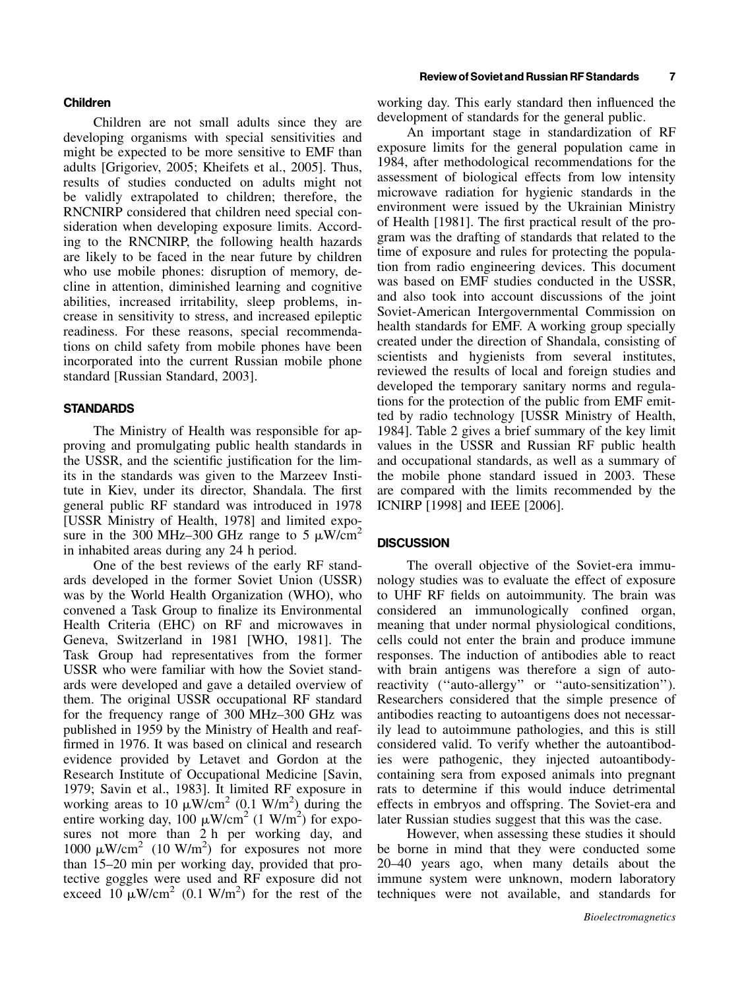### Children

Children are not small adults since they are developing organisms with special sensitivities and might be expected to be more sensitive to EMF than adults [Grigoriev, 2005; Kheifets et al., 2005]. Thus, results of studies conducted on adults might not be validly extrapolated to children; therefore, the RNCNIRP considered that children need special consideration when developing exposure limits. According to the RNCNIRP, the following health hazards are likely to be faced in the near future by children who use mobile phones: disruption of memory, decline in attention, diminished learning and cognitive abilities, increased irritability, sleep problems, increase in sensitivity to stress, and increased epileptic readiness. For these reasons, special recommendations on child safety from mobile phones have been incorporated into the current Russian mobile phone standard [Russian Standard, 2003].

#### **STANDARDS**

The Ministry of Health was responsible for approving and promulgating public health standards in the USSR, and the scientific justification for the limits in the standards was given to the Marzeev Institute in Kiev, under its director, Shandala. The first general public RF standard was introduced in 1978 [USSR Ministry of Health, 1978] and limited exposure in the 300 MHz–300 GHz range to 5  $\mu$ W/cm<sup>2</sup> in inhabited areas during any 24 h period.

One of the best reviews of the early RF standards developed in the former Soviet Union (USSR) was by the World Health Organization (WHO), who convened a Task Group to finalize its Environmental Health Criteria (EHC) on RF and microwaves in Geneva, Switzerland in 1981 [WHO, 1981]. The Task Group had representatives from the former USSR who were familiar with how the Soviet standards were developed and gave a detailed overview of them. The original USSR occupational RF standard for the frequency range of 300 MHz–300 GHz was published in 1959 by the Ministry of Health and reaffirmed in 1976. It was based on clinical and research evidence provided by Letavet and Gordon at the Research Institute of Occupational Medicine [Savin, 1979; Savin et al., 1983]. It limited RF exposure in working areas to 10  $\mu$ W/cm<sup>2</sup> (0.1 W/m<sup>2</sup>) during the entire working day, 100  $\mu$ W/cm<sup>2</sup> (1 W/m<sup>2</sup>) for exposures not more than 2 h per working day, and 1000  $\mu$ W/cm<sup>2</sup> (10 W/m<sup>2</sup>) for exposures not more than 15–20 min per working day, provided that protective goggles were used and RF exposure did not exceed  $10 \mu W/cm^2$  (0.1 W/m<sup>2</sup>) for the rest of the

working day. This early standard then influenced the development of standards for the general public.

An important stage in standardization of RF exposure limits for the general population came in 1984, after methodological recommendations for the assessment of biological effects from low intensity microwave radiation for hygienic standards in the environment were issued by the Ukrainian Ministry of Health [1981]. The first practical result of the program was the drafting of standards that related to the time of exposure and rules for protecting the population from radio engineering devices. This document was based on EMF studies conducted in the USSR, and also took into account discussions of the joint Soviet-American Intergovernmental Commission on health standards for EMF. A working group specially created under the direction of Shandala, consisting of scientists and hygienists from several institutes, reviewed the results of local and foreign studies and developed the temporary sanitary norms and regulations for the protection of the public from EMF emitted by radio technology [USSR Ministry of Health, 1984]. Table 2 gives a brief summary of the key limit values in the USSR and Russian RF public health and occupational standards, as well as a summary of the mobile phone standard issued in 2003. These are compared with the limits recommended by the ICNIRP [1998] and IEEE [2006].

## **DISCUSSION**

The overall objective of the Soviet-era immunology studies was to evaluate the effect of exposure to UHF RF fields on autoimmunity. The brain was considered an immunologically confined organ, meaning that under normal physiological conditions, cells could not enter the brain and produce immune responses. The induction of antibodies able to react with brain antigens was therefore a sign of autoreactivity (''auto-allergy'' or ''auto-sensitization''). Researchers considered that the simple presence of antibodies reacting to autoantigens does not necessarily lead to autoimmune pathologies, and this is still considered valid. To verify whether the autoantibodies were pathogenic, they injected autoantibodycontaining sera from exposed animals into pregnant rats to determine if this would induce detrimental effects in embryos and offspring. The Soviet-era and later Russian studies suggest that this was the case.

However, when assessing these studies it should be borne in mind that they were conducted some 20–40 years ago, when many details about the immune system were unknown, modern laboratory techniques were not available, and standards for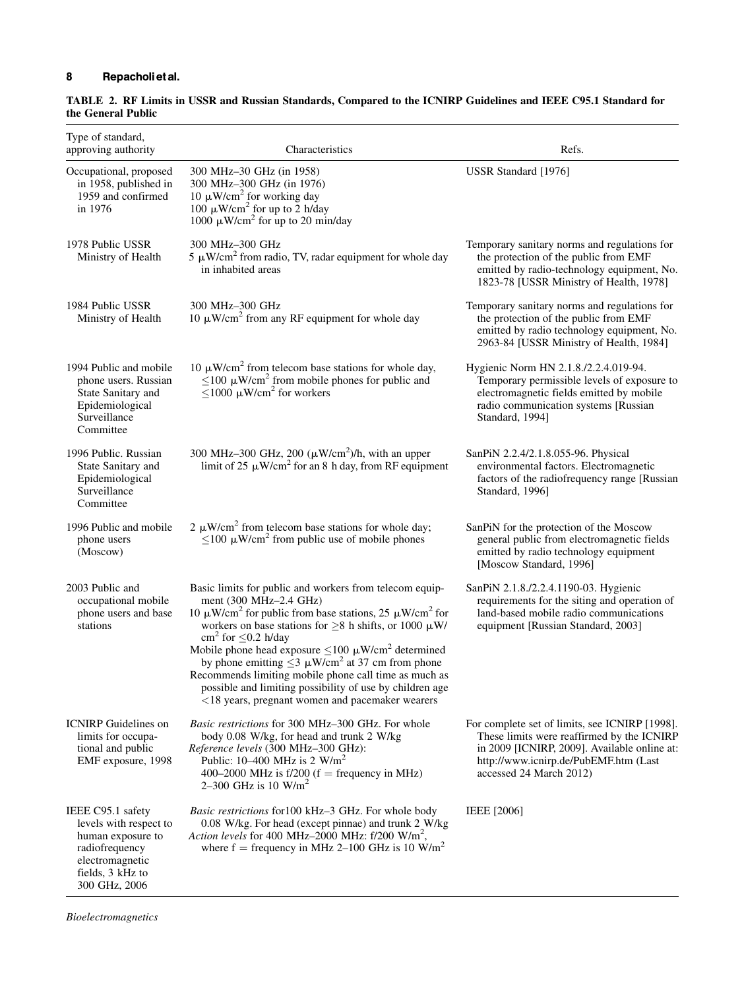# 8 Repacholiet al.

| Type of standard,<br>approving authority                                                                                                   | Characteristics                                                                                                                                                                                                                                                                                                                                                                                                                                                                                                                                                                                               | Refs.                                                                                                                                                                                                            |
|--------------------------------------------------------------------------------------------------------------------------------------------|---------------------------------------------------------------------------------------------------------------------------------------------------------------------------------------------------------------------------------------------------------------------------------------------------------------------------------------------------------------------------------------------------------------------------------------------------------------------------------------------------------------------------------------------------------------------------------------------------------------|------------------------------------------------------------------------------------------------------------------------------------------------------------------------------------------------------------------|
| Occupational, proposed<br>in 1958, published in<br>1959 and confirmed<br>in 1976                                                           | 300 MHz-30 GHz (in 1958)<br>300 MHz-300 GHz (in 1976)<br>10 $\mu$ W/cm <sup>2</sup> for working day<br>100 $\mu$ W/cm <sup>2</sup> for up to 2 h/day<br>1000 $\mu$ W/cm <sup>2</sup> for up to 20 min/day                                                                                                                                                                                                                                                                                                                                                                                                     | USSR Standard [1976]                                                                                                                                                                                             |
| 1978 Public USSR<br>Ministry of Health                                                                                                     | 300 MHz-300 GHz<br>5 $\mu$ W/cm <sup>2</sup> from radio, TV, radar equipment for whole day<br>in inhabited areas                                                                                                                                                                                                                                                                                                                                                                                                                                                                                              | Temporary sanitary norms and regulations for<br>the protection of the public from EMF<br>emitted by radio-technology equipment, No.<br>1823-78 [USSR Ministry of Health, 1978]                                   |
| 1984 Public USSR<br>Ministry of Health                                                                                                     | 300 MHz-300 GHz<br>10 $\mu$ W/cm <sup>2</sup> from any RF equipment for whole day                                                                                                                                                                                                                                                                                                                                                                                                                                                                                                                             | Temporary sanitary norms and regulations for<br>the protection of the public from EMF<br>emitted by radio technology equipment, No.<br>2963-84 [USSR Ministry of Health, 1984]                                   |
| 1994 Public and mobile<br>phone users. Russian<br>State Sanitary and<br>Epidemiological<br>Surveillance<br>Committee                       | 10 $\mu$ W/cm <sup>2</sup> from telecom base stations for whole day,<br>$\leq$ 100 µW/cm <sup>2</sup> from mobile phones for public and<br>$\leq$ 1000 µW/cm <sup>2</sup> for workers                                                                                                                                                                                                                                                                                                                                                                                                                         | Hygienic Norm HN 2.1.8./2.2.4.019-94.<br>Temporary permissible levels of exposure to<br>electromagnetic fields emitted by mobile<br>radio communication systems [Russian<br>Standard, 1994]                      |
| 1996 Public, Russian<br>State Sanitary and<br>Epidemiological<br>Surveillance<br>Committee                                                 | 300 MHz-300 GHz, 200 ( $\mu$ W/cm <sup>2</sup> )/h, with an upper<br>limit of 25 $\mu$ W/cm <sup>2</sup> for an 8 h day, from RF equipment                                                                                                                                                                                                                                                                                                                                                                                                                                                                    | SanPiN 2.2.4/2.1.8.055-96. Physical<br>environmental factors. Electromagnetic<br>factors of the radiofrequency range [Russian]<br>Standard, 1996]                                                                |
| 1996 Public and mobile<br>phone users<br>(Moscow)                                                                                          | 2 $\mu$ W/cm <sup>2</sup> from telecom base stations for whole day;<br>$\leq$ 100 µW/cm <sup>2</sup> from public use of mobile phones                                                                                                                                                                                                                                                                                                                                                                                                                                                                         | SanPiN for the protection of the Moscow<br>general public from electromagnetic fields<br>emitted by radio technology equipment<br>[Moscow Standard, 1996]                                                        |
| 2003 Public and<br>occupational mobile<br>phone users and base<br>stations                                                                 | Basic limits for public and workers from telecom equip-<br>ment (300 MHz-2.4 GHz)<br>10 $\mu$ W/cm <sup>2</sup> for public from base stations, 25 $\mu$ W/cm <sup>2</sup> for<br>workers on base stations for $\geq 8$ h shifts, or 1000 $\mu$ W/<br>cm <sup>2</sup> for $\leq$ 0.2 h/day<br>Mobile phone head exposure $\leq 100 \mu W/cm^2$ determined<br>by phone emitting $\leq$ 3 $\mu$ W/cm <sup>2</sup> at 37 cm from phone<br>Recommends limiting mobile phone call time as much as<br>possible and limiting possibility of use by children age<br>$<$ 18 years, pregnant women and pacemaker wearers | SanPiN 2.1.8./2.2.4.1190-03. Hygienic<br>requirements for the siting and operation of<br>land-based mobile radio communications<br>equipment [Russian Standard, 2003]                                            |
| <b>ICNIRP</b> Guidelines on<br>limits for occupa-<br>tional and public<br>EMF exposure, 1998                                               | <i>Basic restrictions</i> for 300 MHz–300 GHz. For whole<br>body 0.08 W/kg, for head and trunk 2 W/kg<br>Reference levels (300 MHz-300 GHz):<br>Public: $10-400$ MHz is $2$ W/m <sup>2</sup><br>400–2000 MHz is $f/200$ ( $f =$ frequency in MHz)<br>2–300 GHz is 10 $W/m^2$                                                                                                                                                                                                                                                                                                                                  | For complete set of limits, see ICNIRP [1998].<br>These limits were reaffirmed by the ICNIRP<br>in 2009 [ICNIRP, 2009]. Available online at:<br>http://www.icnirp.de/PubEMF.htm (Last<br>accessed 24 March 2012) |
| IEEE C95.1 safety<br>levels with respect to<br>human exposure to<br>radiofrequency<br>electromagnetic<br>fields, 3 kHz to<br>300 GHz, 2006 | Basic restrictions for 100 kHz-3 GHz. For whole body<br>0.08 W/kg. For head (except pinnae) and trunk 2 W/kg<br>Action levels for 400 MHz-2000 MHz: $f/200$ W/m <sup>2</sup> ,<br>where $f =$ frequency in MHz 2-100 GHz is 10 W/m <sup>2</sup>                                                                                                                                                                                                                                                                                                                                                               | IEEE [2006]                                                                                                                                                                                                      |

TABLE 2. RF Limits in USSR and Russian Standards, Compared to the ICNIRP Guidelines and IEEE C95.1 Standard for the General Public

Bioelectromagnetics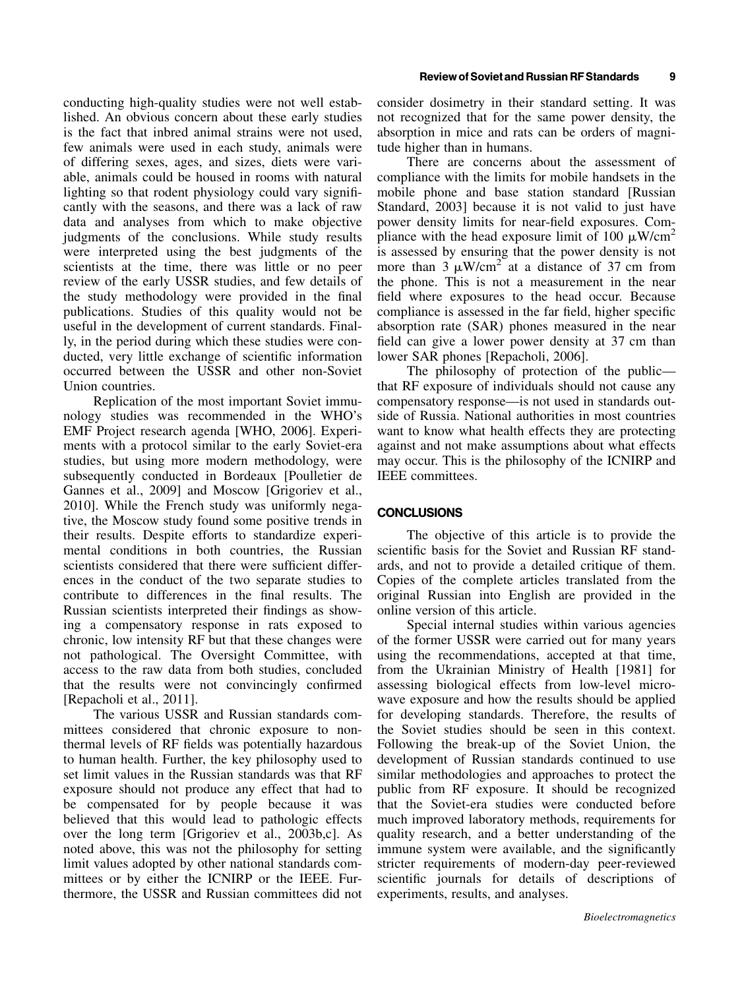conducting high-quality studies were not well established. An obvious concern about these early studies is the fact that inbred animal strains were not used, few animals were used in each study, animals were of differing sexes, ages, and sizes, diets were variable, animals could be housed in rooms with natural lighting so that rodent physiology could vary significantly with the seasons, and there was a lack of raw data and analyses from which to make objective judgments of the conclusions. While study results were interpreted using the best judgments of the scientists at the time, there was little or no peer review of the early USSR studies, and few details of the study methodology were provided in the final publications. Studies of this quality would not be useful in the development of current standards. Finally, in the period during which these studies were conducted, very little exchange of scientific information occurred between the USSR and other non-Soviet Union countries.

Replication of the most important Soviet immunology studies was recommended in the WHO's EMF Project research agenda [WHO, 2006]. Experiments with a protocol similar to the early Soviet-era studies, but using more modern methodology, were subsequently conducted in Bordeaux [Poulletier de Gannes et al., 2009] and Moscow [Grigoriev et al., 2010]. While the French study was uniformly negative, the Moscow study found some positive trends in their results. Despite efforts to standardize experimental conditions in both countries, the Russian scientists considered that there were sufficient differences in the conduct of the two separate studies to contribute to differences in the final results. The Russian scientists interpreted their findings as showing a compensatory response in rats exposed to chronic, low intensity RF but that these changes were not pathological. The Oversight Committee, with access to the raw data from both studies, concluded that the results were not convincingly confirmed [Repacholi et al., 2011].

The various USSR and Russian standards committees considered that chronic exposure to nonthermal levels of RF fields was potentially hazardous to human health. Further, the key philosophy used to set limit values in the Russian standards was that RF exposure should not produce any effect that had to be compensated for by people because it was believed that this would lead to pathologic effects over the long term [Grigoriev et al., 2003b,c]. As noted above, this was not the philosophy for setting limit values adopted by other national standards committees or by either the ICNIRP or the IEEE. Furthermore, the USSR and Russian committees did not consider dosimetry in their standard setting. It was not recognized that for the same power density, the absorption in mice and rats can be orders of magnitude higher than in humans.

There are concerns about the assessment of compliance with the limits for mobile handsets in the mobile phone and base station standard [Russian Standard, 2003] because it is not valid to just have power density limits for near-field exposures. Compliance with the head exposure limit of 100  $\mu$ W/cm<sup>2</sup> is assessed by ensuring that the power density is not more than  $3 \mu W/cm^2$  at a distance of 37 cm from the phone. This is not a measurement in the near field where exposures to the head occur. Because compliance is assessed in the far field, higher specific absorption rate (SAR) phones measured in the near field can give a lower power density at 37 cm than lower SAR phones [Repacholi, 2006].

The philosophy of protection of the public that RF exposure of individuals should not cause any compensatory response—is not used in standards outside of Russia. National authorities in most countries want to know what health effects they are protecting against and not make assumptions about what effects may occur. This is the philosophy of the ICNIRP and IEEE committees.

#### **CONCLUSIONS**

The objective of this article is to provide the scientific basis for the Soviet and Russian RF standards, and not to provide a detailed critique of them. Copies of the complete articles translated from the original Russian into English are provided in the online version of this article.

Special internal studies within various agencies of the former USSR were carried out for many years using the recommendations, accepted at that time, from the Ukrainian Ministry of Health [1981] for assessing biological effects from low-level microwave exposure and how the results should be applied for developing standards. Therefore, the results of the Soviet studies should be seen in this context. Following the break-up of the Soviet Union, the development of Russian standards continued to use similar methodologies and approaches to protect the public from RF exposure. It should be recognized that the Soviet-era studies were conducted before much improved laboratory methods, requirements for quality research, and a better understanding of the immune system were available, and the significantly stricter requirements of modern-day peer-reviewed scientific journals for details of descriptions of experiments, results, and analyses.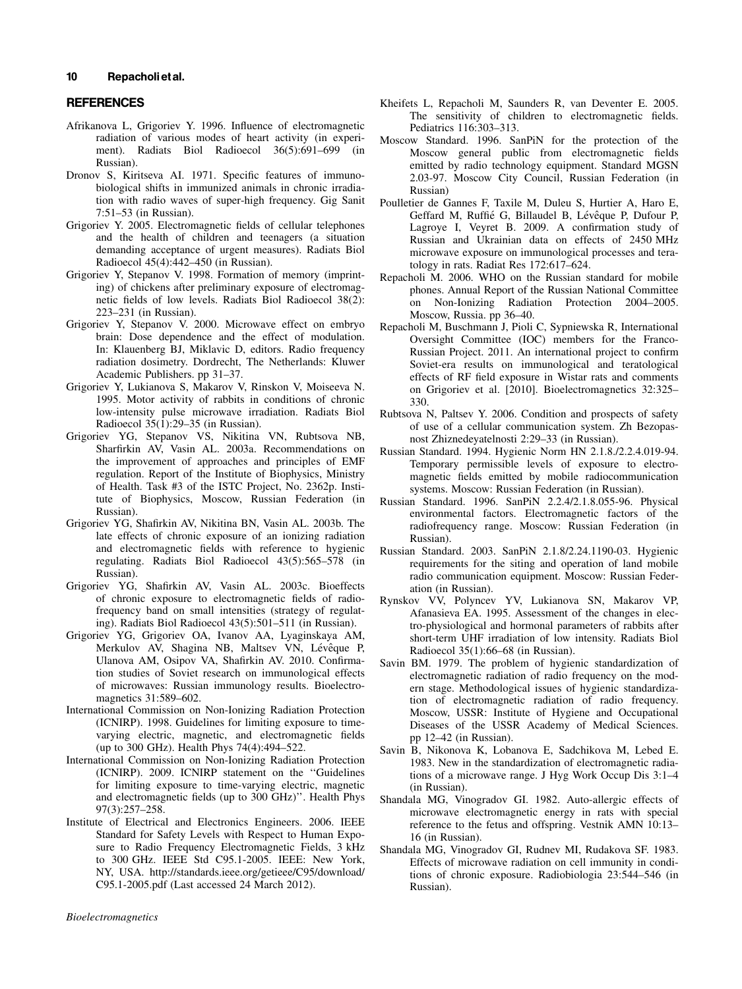#### 10 Repacholiet al.

#### **REFERENCES**

- Afrikanova L, Grigoriev Y. 1996. Influence of electromagnetic radiation of various modes of heart activity (in experiment). Radiats Biol Radioecol 36(5):691–699 (in Russian).
- Dronov S, Kiritseva AI. 1971. Specific features of immunobiological shifts in immunized animals in chronic irradiation with radio waves of super-high frequency. Gig Sanit 7:51–53 (in Russian).
- Grigoriev Y. 2005. Electromagnetic fields of cellular telephones and the health of children and teenagers (a situation demanding acceptance of urgent measures). Radiats Biol Radioecol 45(4):442–450 (in Russian).
- Grigoriev Y, Stepanov V. 1998. Formation of memory (imprinting) of chickens after preliminary exposure of electromagnetic fields of low levels. Radiats Biol Radioecol 38(2): 223–231 (in Russian).
- Grigoriev Y, Stepanov V. 2000. Microwave effect on embryo brain: Dose dependence and the effect of modulation. In: Klauenberg BJ, Miklavic D, editors. Radio frequency radiation dosimetry. Dordrecht, The Netherlands: Kluwer Academic Publishers. pp 31–37.
- Grigoriev Y, Lukianova S, Makarov V, Rinskon V, Moiseeva N. 1995. Motor activity of rabbits in conditions of chronic low-intensity pulse microwave irradiation. Radiats Biol Radioecol 35(1):29–35 (in Russian).
- Grigoriev YG, Stepanov VS, Nikitina VN, Rubtsova NB, Sharfirkin AV, Vasin AL. 2003a. Recommendations on the improvement of approaches and principles of EMF regulation. Report of the Institute of Biophysics, Ministry of Health. Task #3 of the ISTC Project, No. 2362p. Institute of Biophysics, Moscow, Russian Federation (in Russian).
- Grigoriev YG, Shafirkin AV, Nikitina BN, Vasin AL. 2003b. The late effects of chronic exposure of an ionizing radiation and electromagnetic fields with reference to hygienic regulating. Radiats Biol Radioecol 43(5):565–578 (in Russian).
- Grigoriev YG, Shafirkin AV, Vasin AL. 2003c. Bioeffects of chronic exposure to electromagnetic fields of radiofrequency band on small intensities (strategy of regulating). Radiats Biol Radioecol 43(5):501–511 (in Russian).
- Grigoriev YG, Grigoriev OA, Ivanov AA, Lyaginskaya AM, Merkulov AV, Shagina NB, Maltsev VN, Lévêque P, Ulanova AM, Osipov VA, Shafirkin AV. 2010. Confirmation studies of Soviet research on immunological effects of microwaves: Russian immunology results. Bioelectromagnetics 31:589–602.
- International Commission on Non-Ionizing Radiation Protection (ICNIRP). 1998. Guidelines for limiting exposure to timevarying electric, magnetic, and electromagnetic fields (up to 300 GHz). Health Phys 74(4):494–522.
- International Commission on Non-Ionizing Radiation Protection (ICNIRP). 2009. ICNIRP statement on the ''Guidelines for limiting exposure to time-varying electric, magnetic and electromagnetic fields (up to 300 GHz)''. Health Phys 97(3):257–258.
- Institute of Electrical and Electronics Engineers. 2006. IEEE Standard for Safety Levels with Respect to Human Exposure to Radio Frequency Electromagnetic Fields, 3 kHz to 300 GHz. IEEE Std C95.1-2005. IEEE: New York, NY, USA. http://standards.ieee.org/getieee/C95/download/ C95.1-2005.pdf (Last accessed 24 March 2012).
- Kheifets L, Repacholi M, Saunders R, van Deventer E. 2005. The sensitivity of children to electromagnetic fields. Pediatrics 116:303–313.
- Moscow Standard. 1996. SanPiN for the protection of the Moscow general public from electromagnetic fields emitted by radio technology equipment. Standard MGSN 2.03-97. Moscow City Council, Russian Federation (in Russian)
- Poulletier de Gannes F, Taxile M, Duleu S, Hurtier A, Haro E, Geffard M, Ruffié G, Billaudel B, Lévêque P, Dufour P, Lagroye I, Veyret B. 2009. A confirmation study of Russian and Ukrainian data on effects of 2450 MHz microwave exposure on immunological processes and teratology in rats. Radiat Res 172:617–624.
- Repacholi M. 2006. WHO on the Russian standard for mobile phones. Annual Report of the Russian National Committee on Non-Ionizing Radiation Protection 2004–2005. Moscow, Russia. pp 36–40.
- Repacholi M, Buschmann J, Pioli C, Sypniewska R, International Oversight Committee (IOC) members for the Franco-Russian Project. 2011. An international project to confirm Soviet-era results on immunological and teratological effects of RF field exposure in Wistar rats and comments on Grigoriev et al. [2010]. Bioelectromagnetics 32:325– 330.
- Rubtsova N, Paltsev Y. 2006. Condition and prospects of safety of use of a cellular communication system. Zh Bezopasnost Zhiznedeyatelnosti 2:29–33 (in Russian).
- Russian Standard. 1994. Hygienic Norm HN 2.1.8./2.2.4.019-94. Temporary permissible levels of exposure to electromagnetic fields emitted by mobile radiocommunication systems. Moscow: Russian Federation (in Russian).
- Russian Standard. 1996. SanPiN 2.2.4/2.1.8.055-96. Physical environmental factors. Electromagnetic factors of the radiofrequency range. Moscow: Russian Federation (in Russian).
- Russian Standard. 2003. SanPiN 2.1.8/2.24.1190-03. Hygienic requirements for the siting and operation of land mobile radio communication equipment. Moscow: Russian Federation (in Russian).
- Rynskov VV, Polyncev YV, Lukianova SN, Makarov VP, Afanasieva EA. 1995. Assessment of the changes in electro-physiological and hormonal parameters of rabbits after short-term UHF irradiation of low intensity. Radiats Biol Radioecol 35(1):66–68 (in Russian).
- Savin BM. 1979. The problem of hygienic standardization of electromagnetic radiation of radio frequency on the modern stage. Methodological issues of hygienic standardization of electromagnetic radiation of radio frequency. Moscow, USSR: Institute of Hygiene and Occupational Diseases of the USSR Academy of Medical Sciences. pp 12–42 (in Russian).
- Savin B, Nikonova K, Lobanova E, Sadchikova M, Lebed E. 1983. New in the standardization of electromagnetic radiations of a microwave range. J Hyg Work Occup Dis 3:1–4 (in Russian).
- Shandala MG, Vinogradov GI. 1982. Auto-allergic effects of microwave electromagnetic energy in rats with special reference to the fetus and offspring. Vestnik AMN 10:13– 16 (in Russian).
- Shandala MG, Vinogradov GI, Rudnev MI, Rudakova SF. 1983. Effects of microwave radiation on cell immunity in conditions of chronic exposure. Radiobiologia 23:544–546 (in Russian).